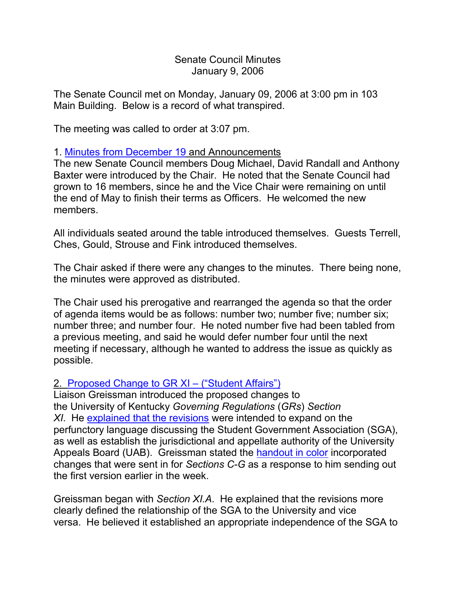Senate Council Minutes January 9, 2006

The Senate Council met on Monday, January 09, 2006 at 3:00 pm in 103 Main Building. Below is a record of what transpired.

The meeting was called to order at 3:07 pm.

## 1. [Minutes from December 19](http://www.uky.edu/USC/New/SCMinutes/2005-2006/SC%20Minutes%20December%2019%202005%20FINAL.htm) and Announcements

The new Senate Council members Doug Michael, David Randall and Anthony Baxter were introduced by the Chair. He noted that the Senate Council had grown to 16 members, since he and the Vice Chair were remaining on until the end of May to finish their terms as Officers. He welcomed the new members.

All individuals seated around the table introduced themselves. Guests Terrell, Ches, Gould, Strouse and Fink introduced themselves.

The Chair asked if there were any changes to the minutes. There being none, the minutes were approved as distributed.

The Chair used his prerogative and rearranged the agenda so that the order of agenda items would be as follows: number two; number five; number six; number three; and number four. He noted number five had been tabled from a previous meeting, and said he would defer number four until the next meeting if necessary, although he wanted to address the issue as quickly as possible.

## 2. [Proposed Change to GR XI –](http://www.uky.edu/USC/New/SCAgendas/20060109/GR%20XI%20_Student%20Affairs%20-%20SGA_%20-%20revision%20with%20tracking%20_12-20-05_.pdf) ("Student Affairs")

Liaison Greissman introduced the proposed changes to the University of Kentucky *Governing Regulations* (*GRs*) *Section XI*. He [explained that the revisions](http://www.uky.edu/USC/New/SCAgendas/20060109/GR%20IX%20-%20Student%20Affairs%20-%20rationale%20for%20Senate%20Council.pdf) were intended to expand on the perfunctory language discussing the Student Government Association (SGA), as well as establish the jurisdictional and appellate authority of the University Appeals Board (UAB). Greissman stated the [handout in color](http://www.uky.edu/USC/New/SCAgendas/20060109/GR%20XI_Student%20Affairs%20Section%20C-G%20revised%202_2_06.pdf) incorporated changes that were sent in for *Sections C-G* as a response to him sending out the first version earlier in the week.

Greissman began with *Section XI.A*. He explained that the revisions more clearly defined the relationship of the SGA to the University and vice versa. He believed it established an appropriate independence of the SGA to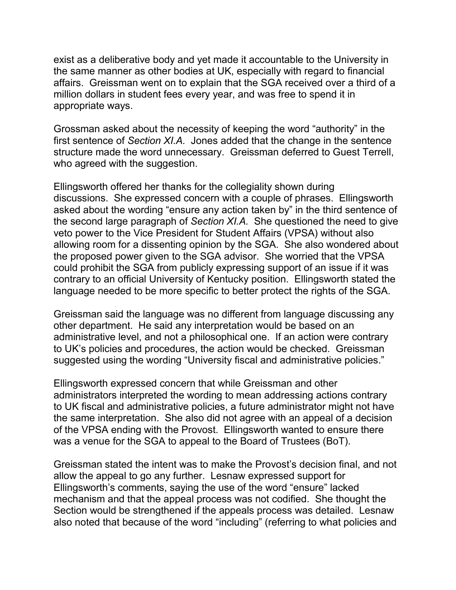exist as a deliberative body and yet made it accountable to the University in the same manner as other bodies at UK, especially with regard to financial affairs. Greissman went on to explain that the SGA received over a third of a million dollars in student fees every year, and was free to spend it in appropriate ways.

Grossman asked about the necessity of keeping the word "authority" in the first sentence of *Section XI.A.* Jones added that the change in the sentence structure made the word unnecessary. Greissman deferred to Guest Terrell, who agreed with the suggestion.

Ellingsworth offered her thanks for the collegiality shown during discussions. She expressed concern with a couple of phrases. Ellingsworth asked about the wording "ensure any action taken by" in the third sentence of the second large paragraph of *Section XI.A.* She questioned the need to give veto power to the Vice President for Student Affairs (VPSA) without also allowing room for a dissenting opinion by the SGA. She also wondered about the proposed power given to the SGA advisor. She worried that the VPSA could prohibit the SGA from publicly expressing support of an issue if it was contrary to an official University of Kentucky position. Ellingsworth stated the language needed to be more specific to better protect the rights of the SGA.

Greissman said the language was no different from language discussing any other department. He said any interpretation would be based on an administrative level, and not a philosophical one. If an action were contrary to UK's policies and procedures, the action would be checked. Greissman suggested using the wording "University fiscal and administrative policies."

Ellingsworth expressed concern that while Greissman and other administrators interpreted the wording to mean addressing actions contrary to UK fiscal and administrative policies, a future administrator might not have the same interpretation. She also did not agree with an appeal of a decision of the VPSA ending with the Provost. Ellingsworth wanted to ensure there was a venue for the SGA to appeal to the Board of Trustees (BoT).

Greissman stated the intent was to make the Provost's decision final, and not allow the appeal to go any further. Lesnaw expressed support for Ellingsworth's comments, saying the use of the word "ensure" lacked mechanism and that the appeal process was not codified. She thought the Section would be strengthened if the appeals process was detailed. Lesnaw also noted that because of the word "including" (referring to what policies and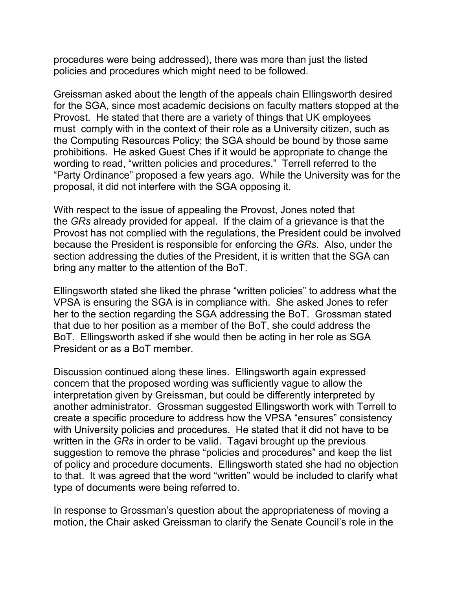procedures were being addressed), there was more than just the listed policies and procedures which might need to be followed.

Greissman asked about the length of the appeals chain Ellingsworth desired for the SGA, since most academic decisions on faculty matters stopped at the Provost. He stated that there are a variety of things that UK employees must comply with in the context of their role as a University citizen, such as the Computing Resources Policy; the SGA should be bound by those same prohibitions. He asked Guest Ches if it would be appropriate to change the wording to read, "written policies and procedures." Terrell referred to the "Party Ordinance" proposed a few years ago. While the University was for the proposal, it did not interfere with the SGA opposing it.

With respect to the issue of appealing the Provost, Jones noted that the *GRs* already provided for appeal. If the claim of a grievance is that the Provost has not complied with the regulations, the President could be involved because the President is responsible for enforcing the *GRs.* Also, under the section addressing the duties of the President, it is written that the SGA can bring any matter to the attention of the BoT.

Ellingsworth stated she liked the phrase "written policies" to address what the VPSA is ensuring the SGA is in compliance with. She asked Jones to refer her to the section regarding the SGA addressing the BoT. Grossman stated that due to her position as a member of the BoT, she could address the BoT. Ellingsworth asked if she would then be acting in her role as SGA President or as a BoT member.

Discussion continued along these lines. Ellingsworth again expressed concern that the proposed wording was sufficiently vague to allow the interpretation given by Greissman, but could be differently interpreted by another administrator. Grossman suggested Ellingsworth work with Terrell to create a specific procedure to address how the VPSA "ensures" consistency with University policies and procedures. He stated that it did not have to be written in the *GRs* in order to be valid. Tagavi brought up the previous suggestion to remove the phrase "policies and procedures" and keep the list of policy and procedure documents. Ellingsworth stated she had no objection to that. It was agreed that the word "written" would be included to clarify what type of documents were being referred to.

In response to Grossman's question about the appropriateness of moving a motion, the Chair asked Greissman to clarify the Senate Council's role in the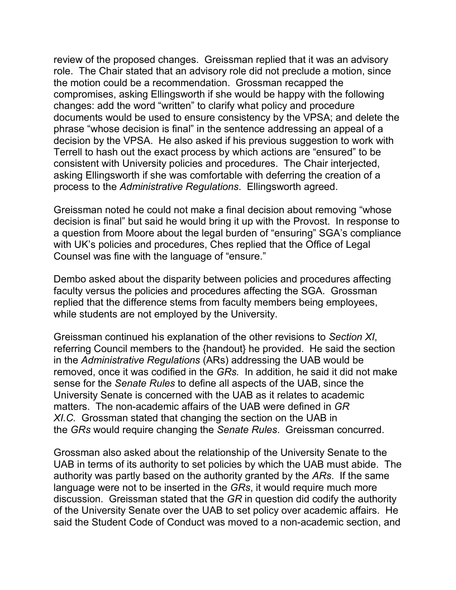review of the proposed changes. Greissman replied that it was an advisory role. The Chair stated that an advisory role did not preclude a motion, since the motion could be a recommendation. Grossman recapped the compromises, asking Ellingsworth if she would be happy with the following changes: add the word "written" to clarify what policy and procedure documents would be used to ensure consistency by the VPSA; and delete the phrase "whose decision is final" in the sentence addressing an appeal of a decision by the VPSA. He also asked if his previous suggestion to work with Terrell to hash out the exact process by which actions are "ensured" to be consistent with University policies and procedures. The Chair interjected, asking Ellingsworth if she was comfortable with deferring the creation of a process to the *Administrative Regulations*. Ellingsworth agreed.

Greissman noted he could not make a final decision about removing "whose decision is final" but said he would bring it up with the Provost. In response to a question from Moore about the legal burden of "ensuring" SGA's compliance with UK's policies and procedures, Ches replied that the Office of Legal Counsel was fine with the language of "ensure."

Dembo asked about the disparity between policies and procedures affecting faculty versus the policies and procedures affecting the SGA. Grossman replied that the difference stems from faculty members being employees, while students are not employed by the University.

Greissman continued his explanation of the other revisions to *Section XI*, referring Council members to the {handout} he provided. He said the section in the *Administrative Regulations* (ARs) addressing the UAB would be removed, once it was codified in the *GRs.* In addition, he said it did not make sense for the *Senate Rules* to define all aspects of the UAB, since the University Senate is concerned with the UAB as it relates to academic matters. The non-academic affairs of the UAB were defined in *GR XI.C.* Grossman stated that changing the section on the UAB in the *GRs* would require changing the *Senate Rules*. Greissman concurred.

Grossman also asked about the relationship of the University Senate to the UAB in terms of its authority to set policies by which the UAB must abide. The authority was partly based on the authority granted by the *ARs*. If the same language were not to be inserted in the *GRs*, it would require much more discussion. Greissman stated that the *GR* in question did codify the authority of the University Senate over the UAB to set policy over academic affairs. He said the Student Code of Conduct was moved to a non-academic section, and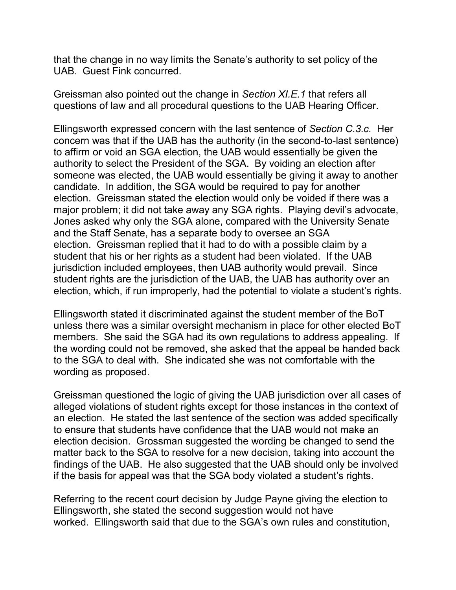that the change in no way limits the Senate's authority to set policy of the UAB. Guest Fink concurred.

Greissman also pointed out the change in *Section XI.E.1* that refers all questions of law and all procedural questions to the UAB Hearing Officer.

Ellingsworth expressed concern with the last sentence of *Section C.3.c.* Her concern was that if the UAB has the authority (in the second-to-last sentence) to affirm or void an SGA election, the UAB would essentially be given the authority to select the President of the SGA. By voiding an election after someone was elected, the UAB would essentially be giving it away to another candidate. In addition, the SGA would be required to pay for another election. Greissman stated the election would only be voided if there was a major problem; it did not take away any SGA rights. Playing devil's advocate, Jones asked why only the SGA alone, compared with the University Senate and the Staff Senate, has a separate body to oversee an SGA election. Greissman replied that it had to do with a possible claim by a student that his or her rights as a student had been violated. If the UAB jurisdiction included employees, then UAB authority would prevail. Since student rights are the jurisdiction of the UAB, the UAB has authority over an election, which, if run improperly, had the potential to violate a student's rights.

Ellingsworth stated it discriminated against the student member of the BoT unless there was a similar oversight mechanism in place for other elected BoT members. She said the SGA had its own regulations to address appealing. If the wording could not be removed, she asked that the appeal be handed back to the SGA to deal with. She indicated she was not comfortable with the wording as proposed.

Greissman questioned the logic of giving the UAB jurisdiction over all cases of alleged violations of student rights except for those instances in the context of an election. He stated the last sentence of the section was added specifically to ensure that students have confidence that the UAB would not make an election decision. Grossman suggested the wording be changed to send the matter back to the SGA to resolve for a new decision, taking into account the findings of the UAB. He also suggested that the UAB should only be involved if the basis for appeal was that the SGA body violated a student's rights.

Referring to the recent court decision by Judge Payne giving the election to Ellingsworth, she stated the second suggestion would not have worked. Ellingsworth said that due to the SGA's own rules and constitution,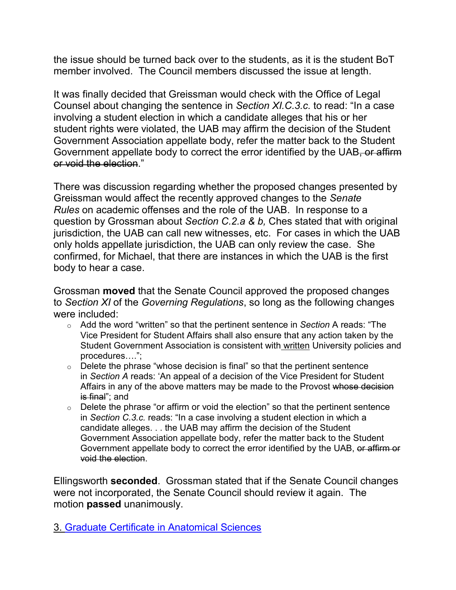the issue should be turned back over to the students, as it is the student BoT member involved. The Council members discussed the issue at length.

It was finally decided that Greissman would check with the Office of Legal Counsel about changing the sentence in *Section XI.C.3.c.* to read: "In a case involving a student election in which a candidate alleges that his or her student rights were violated, the UAB may affirm the decision of the Student Government Association appellate body, refer the matter back to the Student Government appellate body to correct the error identified by the UAB, or affirm or void the election."

There was discussion regarding whether the proposed changes presented by Greissman would affect the recently approved changes to the *Senate Rules* on academic offenses and the role of the UAB. In response to a question by Grossman about *Section C.2.a & b,* Ches stated that with original jurisdiction, the UAB can call new witnesses, etc. For cases in which the UAB only holds appellate jurisdiction, the UAB can only review the case. She confirmed, for Michael, that there are instances in which the UAB is the first body to hear a case.

Grossman **moved** that the Senate Council approved the proposed changes to *Section XI* of the *Governing Regulations*, so long as the following changes were included:

- o Add the word "written" so that the pertinent sentence in *Section* A reads: "The Vice President for Student Affairs shall also ensure that any action taken by the Student Government Association is consistent with written University policies and procedures….";
- $\circ$  Delete the phrase "whose decision is final" so that the pertinent sentence in *Section A* reads: 'An appeal of a decision of the Vice President for Student Affairs in any of the above matters may be made to the Provost whose decision is final"; and
- $\circ$  Delete the phrase "or affirm or void the election" so that the pertinent sentence in *Section C.3.c.* reads: "In a case involving a student election in which a candidate alleges. . . the UAB may affirm the decision of the Student Government Association appellate body, refer the matter back to the Student Government appellate body to correct the error identified by the UAB, or affirm or void the election.

Ellingsworth **seconded**. Grossman stated that if the Senate Council changes were not incorporated, the Senate Council should review it again. The motion **passed** unanimously.

3. [Graduate Certificate in Anatomical Sciences](http://www.uky.edu/USC/New/SCAgendas/20060109/amended%20anat%20sci%20cert.pdf)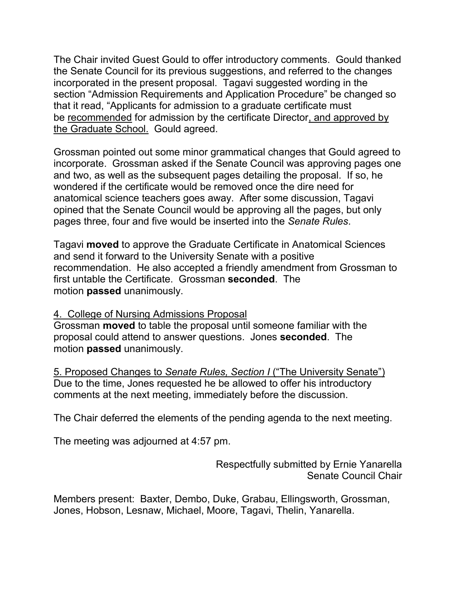The Chair invited Guest Gould to offer introductory comments. Gould thanked the Senate Council for its previous suggestions, and referred to the changes incorporated in the present proposal. Tagavi suggested wording in the section "Admission Requirements and Application Procedure" be changed so that it read, "Applicants for admission to a graduate certificate must be recommended for admission by the certificate Director, and approved by the Graduate School. Gould agreed.

Grossman pointed out some minor grammatical changes that Gould agreed to incorporate. Grossman asked if the Senate Council was approving pages one and two, as well as the subsequent pages detailing the proposal. If so, he wondered if the certificate would be removed once the dire need for anatomical science teachers goes away. After some discussion, Tagavi opined that the Senate Council would be approving all the pages, but only pages three, four and five would be inserted into the *Senate Rules*.

Tagavi **moved** to approve the Graduate Certificate in Anatomical Sciences and send it forward to the University Senate with a positive recommendation. He also accepted a friendly amendment from Grossman to first untable the Certificate. Grossman **seconded**. The motion **passed** unanimously.

## 4. College of Nursing Admissions Proposal

Grossman **moved** to table the proposal until someone familiar with the proposal could attend to answer questions. Jones **seconded**. The motion **passed** unanimously.

5. Proposed Changes to *Senate Rules, Section I* ("The University Senate") Due to the time, Jones requested he be allowed to offer his introductory comments at the next meeting, immediately before the discussion.

The Chair deferred the elements of the pending agenda to the next meeting.

The meeting was adjourned at 4:57 pm.

Respectfully submitted by Ernie Yanarella Senate Council Chair

Members present: Baxter, Dembo, Duke, Grabau, Ellingsworth, Grossman, Jones, Hobson, Lesnaw, Michael, Moore, Tagavi, Thelin, Yanarella.